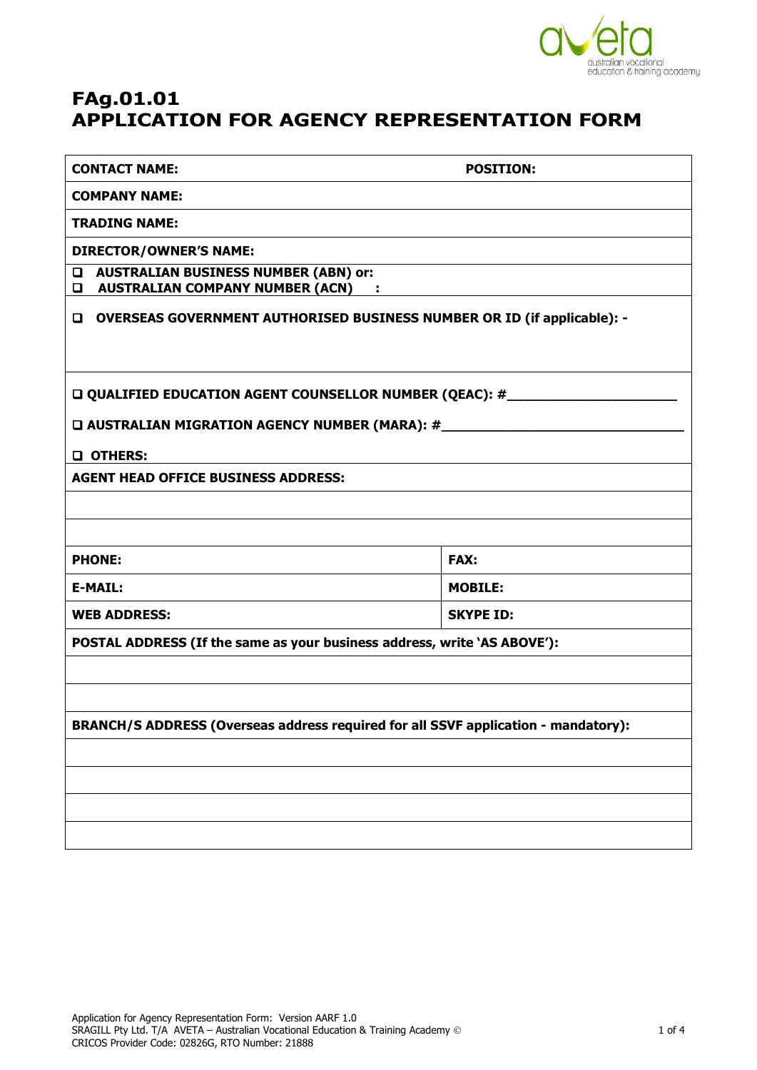

# **FAg.01.01 APPLICATION FOR AGENCY REPRESENTATION FORM**

| <b>CONTACT NAME:</b>                                                                                | <b>POSITION:</b> |  |
|-----------------------------------------------------------------------------------------------------|------------------|--|
| <b>COMPANY NAME:</b>                                                                                |                  |  |
| <b>TRADING NAME:</b>                                                                                |                  |  |
| <b>DIRECTOR/OWNER'S NAME:</b>                                                                       |                  |  |
| <b>AUSTRALIAN BUSINESS NUMBER (ABN) or:</b><br>$\Box$<br><b>Q AUSTRALIAN COMPANY NUMBER (ACN) :</b> |                  |  |
| <b>D</b> OVERSEAS GOVERNMENT AUTHORISED BUSINESS NUMBER OR ID (if applicable): -                    |                  |  |
| QUALIFIED EDUCATION AGENT COUNSELLOR NUMBER (QEAC): #___________________________                    |                  |  |
| □ AUSTRALIAN MIGRATION AGENCY NUMBER (MARA): #__________________________________                    |                  |  |
| O OTHERS:                                                                                           |                  |  |
| <b>AGENT HEAD OFFICE BUSINESS ADDRESS:</b>                                                          |                  |  |
|                                                                                                     |                  |  |
|                                                                                                     |                  |  |
| <b>PHONE:</b>                                                                                       | <b>FAX:</b>      |  |
| <b>E-MAIL:</b>                                                                                      | <b>MOBILE:</b>   |  |
| <b>WEB ADDRESS:</b>                                                                                 | <b>SKYPE ID:</b> |  |
| POSTAL ADDRESS (If the same as your business address, write 'AS ABOVE'):                            |                  |  |
|                                                                                                     |                  |  |
|                                                                                                     |                  |  |
| BRANCH/S ADDRESS (Overseas address required for all SSVF application - mandatory):                  |                  |  |
|                                                                                                     |                  |  |
|                                                                                                     |                  |  |
|                                                                                                     |                  |  |
|                                                                                                     |                  |  |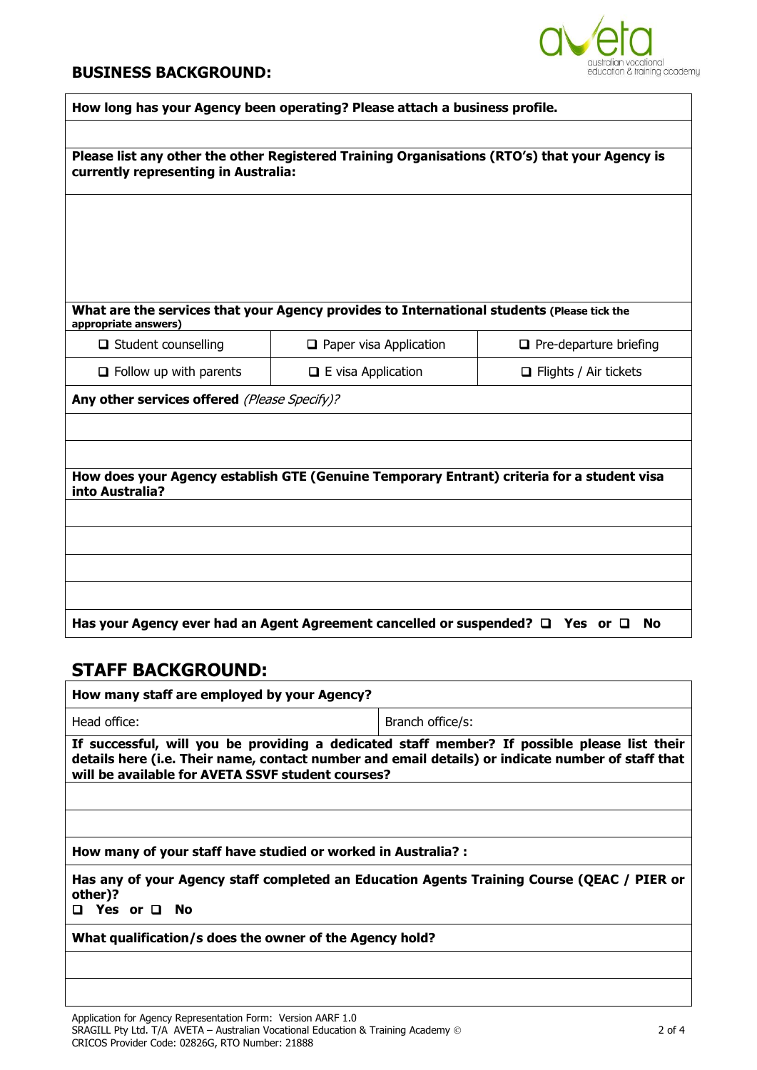#### **BUSINESS BACKGROUND:**



| How long has your Agency been operating? Please attach a business profile.                                                            |                               |                               |
|---------------------------------------------------------------------------------------------------------------------------------------|-------------------------------|-------------------------------|
|                                                                                                                                       |                               |                               |
| Please list any other the other Registered Training Organisations (RTO's) that your Agency is<br>currently representing in Australia: |                               |                               |
|                                                                                                                                       |                               |                               |
|                                                                                                                                       |                               |                               |
|                                                                                                                                       |                               |                               |
|                                                                                                                                       |                               |                               |
| What are the services that your Agency provides to International students (Please tick the<br>appropriate answers)                    |                               |                               |
| $\Box$ Student counselling                                                                                                            | $\Box$ Paper visa Application | $\Box$ Pre-departure briefing |
| $\Box$ Follow up with parents                                                                                                         | $\Box$ E visa Application     | $\Box$ Flights / Air tickets  |
| Any other services offered (Please Specify)?                                                                                          |                               |                               |
|                                                                                                                                       |                               |                               |
|                                                                                                                                       |                               |                               |
| How does your Agency establish GTE (Genuine Temporary Entrant) criteria for a student visa<br>into Australia?                         |                               |                               |
|                                                                                                                                       |                               |                               |
|                                                                                                                                       |                               |                               |
|                                                                                                                                       |                               |                               |
|                                                                                                                                       |                               |                               |
|                                                                                                                                       |                               | <b>No</b>                     |
| Has your Agency ever had an Agent Agreement cancelled or suspended? $\square$ Yes or $\square$                                        |                               |                               |

### **STAFF BACKGROUND:**

| How many staff are employed by your Agency?                                                                                                                                                                                                            |                  |
|--------------------------------------------------------------------------------------------------------------------------------------------------------------------------------------------------------------------------------------------------------|------------------|
| Head office:                                                                                                                                                                                                                                           | Branch office/s: |
| If successful, will you be providing a dedicated staff member? If possible please list their<br>details here (i.e. Their name, contact number and email details) or indicate number of staff that<br>will be available for AVETA SSVF student courses? |                  |
|                                                                                                                                                                                                                                                        |                  |
| How many of your staff have studied or worked in Australia? :                                                                                                                                                                                          |                  |
| Has any of your Agency staff completed an Education Agents Training Course (QEAC / PIER or<br>other)?                                                                                                                                                  |                  |
| □ Yes or □ No                                                                                                                                                                                                                                          |                  |
| What qualification/s does the owner of the Agency hold?                                                                                                                                                                                                |                  |
|                                                                                                                                                                                                                                                        |                  |
|                                                                                                                                                                                                                                                        |                  |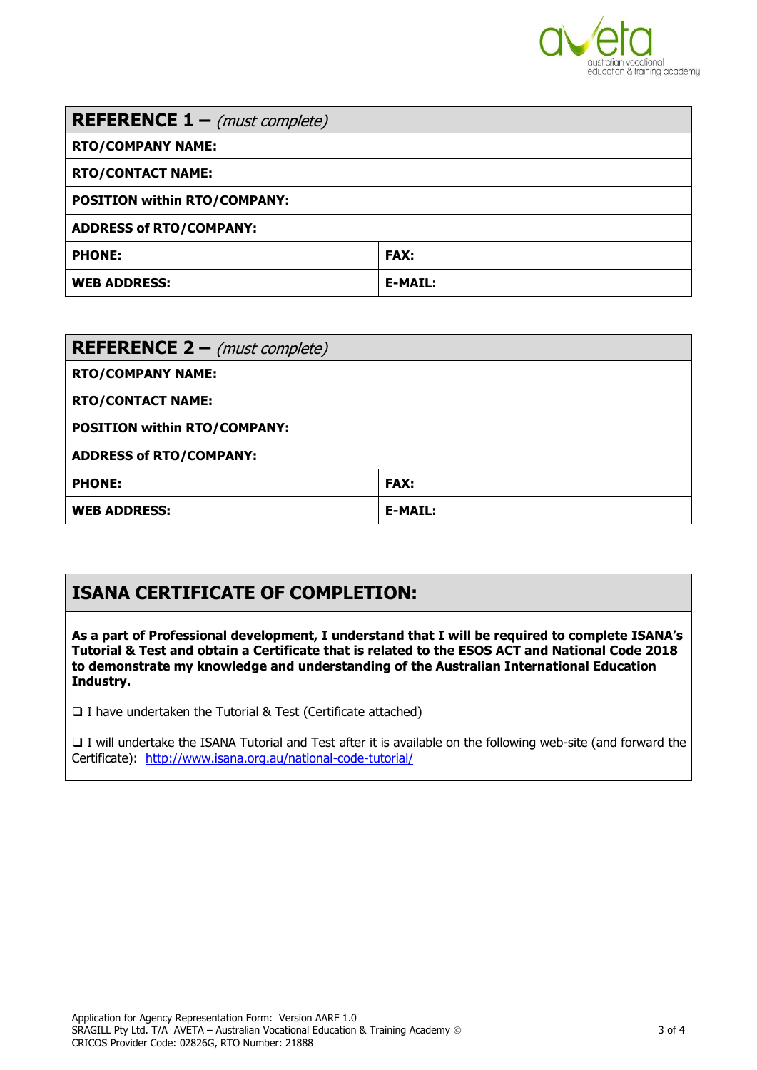

| <b>REFERENCE 1</b> – (must complete) |                |
|--------------------------------------|----------------|
| <b>RTO/COMPANY NAME:</b>             |                |
| <b>RTO/CONTACT NAME:</b>             |                |
| <b>POSITION within RTO/COMPANY:</b>  |                |
| <b>ADDRESS of RTO/COMPANY:</b>       |                |
| <b>PHONE:</b>                        | <b>FAX:</b>    |
| <b>WEB ADDRESS:</b>                  | <b>E-MAIL:</b> |

| <b>REFERENCE 2</b> – (must complete) |                |
|--------------------------------------|----------------|
| <b>RTO/COMPANY NAME:</b>             |                |
| <b>RTO/CONTACT NAME:</b>             |                |
| <b>POSITION within RTO/COMPANY:</b>  |                |
| <b>ADDRESS of RTO/COMPANY:</b>       |                |
| <b>PHONE:</b>                        | <b>FAX:</b>    |
| <b>WEB ADDRESS:</b>                  | <b>E-MAIL:</b> |

## **ISANA CERTIFICATE OF COMPLETION:**

**As a part of Professional development, I understand that I will be required to complete ISANA's Tutorial & Test and obtain a Certificate that is related to the ESOS ACT and National Code 2018 to demonstrate my knowledge and understanding of the Australian International Education Industry.**

□ I have undertaken the Tutorial & Test (Certificate attached)

 I will undertake the ISANA Tutorial and Test after it is available on the following web-site (and forward the Certificate): <http://www.isana.org.au/national-code-tutorial/>